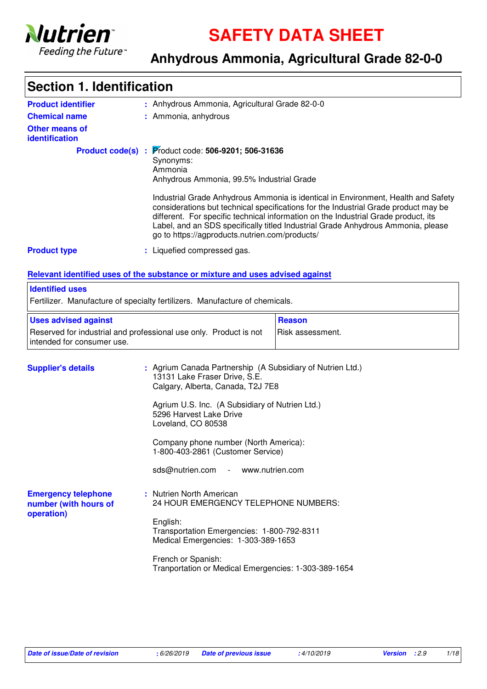

**SAFETY DATA SHEET**

### **Anhydrous Ammonia, Agricultural Grade 82-0-0**

### Anhydrous Ammonia, Agricultural Grade 82-0-0 **:** Liquefied compressed gas. **:** Nutrien North American **:** 24 HOUR EMERGENCY TELEPHONE NUMBERS: English: Transportation Emergencies: 1-800-792-8311 Medical Emergencies: 1-303-389-1653 French or Spanish: Tranportation or Medical Emergencies: 1-303-389-1654 **Product identifier Other means of identification Product type Emergency telephone number (with hours of operation) Section 1. Identification Chemical name :** Ammonia, anhydrous **Supplier's details** : Agrium Canada Partnership (A Subsidiary of Nutrien Ltd.) 13131 Lake Fraser Drive, S.E. Calgary, Alberta, Canada, T2J 7E8 Agrium U.S. Inc. (A Subsidiary of Nutrien Ltd.) 5296 Harvest Lake Drive Loveland, CO 80538 Company phone number (North America): 1-800-403-2861 (Customer Service) sds@nutrien.com - www.nutrien.com **Relevant identified uses of the substance or mixture and uses advised against** Fertilizer. Manufacture of specialty fertilizers. Manufacture of chemicals. **Identified uses** Reserved for industrial and professional use only. Product is not intended for consumer use. Risk assessment. **Uses advised against Reason Product code(s) : Product code: 506-9201; 506-31636** Synonyms: Ammonia Anhydrous Ammonia, 99.5% Industrial Grade Industrial Grade Anhydrous Ammonia is identical in Environment, Health and Safety considerations but technical specifications for the Industrial Grade product may be different. For specific technical information on the Industrial Grade product, its Label, and an SDS specifically titled Industrial Grade Anhydrous Ammonia, please go to https://agproducts.nutrien.com/products/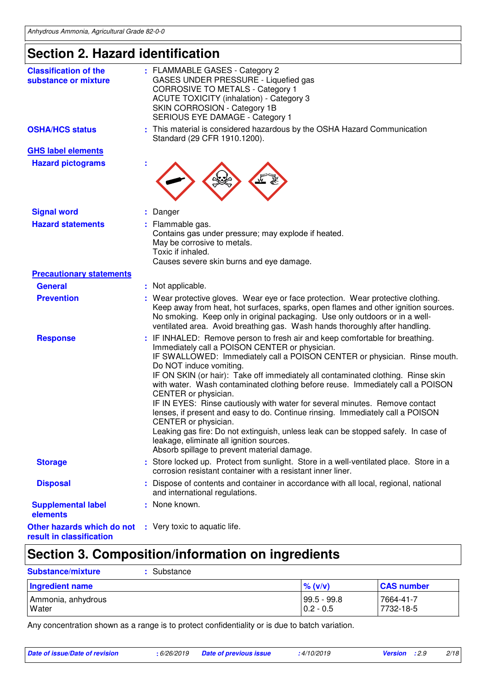# **Section 2. Hazard identification**

| <b>Classification of the</b><br>substance or mixture   |   | : FLAMMABLE GASES - Category 2<br>GASES UNDER PRESSURE - Liquefied gas<br><b>CORROSIVE TO METALS - Category 1</b><br><b>ACUTE TOXICITY (inhalation) - Category 3</b><br>SKIN CORROSION - Category 1B<br>SERIOUS EYE DAMAGE - Category 1                                                                                                                                                                                                                                                                                                                                                                                                                                                                                                                                                                      |
|--------------------------------------------------------|---|--------------------------------------------------------------------------------------------------------------------------------------------------------------------------------------------------------------------------------------------------------------------------------------------------------------------------------------------------------------------------------------------------------------------------------------------------------------------------------------------------------------------------------------------------------------------------------------------------------------------------------------------------------------------------------------------------------------------------------------------------------------------------------------------------------------|
| <b>OSHA/HCS status</b>                                 | ÷ | This material is considered hazardous by the OSHA Hazard Communication<br>Standard (29 CFR 1910.1200).                                                                                                                                                                                                                                                                                                                                                                                                                                                                                                                                                                                                                                                                                                       |
| <b>GHS label elements</b>                              |   |                                                                                                                                                                                                                                                                                                                                                                                                                                                                                                                                                                                                                                                                                                                                                                                                              |
| <b>Hazard pictograms</b>                               |   |                                                                                                                                                                                                                                                                                                                                                                                                                                                                                                                                                                                                                                                                                                                                                                                                              |
| <b>Signal word</b>                                     |   | Danger                                                                                                                                                                                                                                                                                                                                                                                                                                                                                                                                                                                                                                                                                                                                                                                                       |
| <b>Hazard statements</b>                               |   | Flammable gas.<br>Contains gas under pressure; may explode if heated.<br>May be corrosive to metals.<br>Toxic if inhaled.<br>Causes severe skin burns and eye damage.                                                                                                                                                                                                                                                                                                                                                                                                                                                                                                                                                                                                                                        |
| <b>Precautionary statements</b>                        |   |                                                                                                                                                                                                                                                                                                                                                                                                                                                                                                                                                                                                                                                                                                                                                                                                              |
| <b>General</b>                                         |   | : Not applicable.                                                                                                                                                                                                                                                                                                                                                                                                                                                                                                                                                                                                                                                                                                                                                                                            |
| <b>Prevention</b>                                      |   | : Wear protective gloves. Wear eye or face protection. Wear protective clothing.<br>Keep away from heat, hot surfaces, sparks, open flames and other ignition sources.<br>No smoking. Keep only in original packaging. Use only outdoors or in a well-<br>ventilated area. Avoid breathing gas. Wash hands thoroughly after handling.                                                                                                                                                                                                                                                                                                                                                                                                                                                                        |
| <b>Response</b>                                        |   | IF INHALED: Remove person to fresh air and keep comfortable for breathing.<br>Immediately call a POISON CENTER or physician.<br>IF SWALLOWED: Immediately call a POISON CENTER or physician. Rinse mouth.<br>Do NOT induce vomiting.<br>IF ON SKIN (or hair): Take off immediately all contaminated clothing. Rinse skin<br>with water. Wash contaminated clothing before reuse. Immediately call a POISON<br>CENTER or physician.<br>IF IN EYES: Rinse cautiously with water for several minutes. Remove contact<br>lenses, if present and easy to do. Continue rinsing. Immediately call a POISON<br>CENTER or physician.<br>Leaking gas fire: Do not extinguish, unless leak can be stopped safely. In case of<br>leakage, eliminate all ignition sources.<br>Absorb spillage to prevent material damage. |
| <b>Storage</b>                                         |   | Store locked up. Protect from sunlight. Store in a well-ventilated place. Store in a<br>corrosion resistant container with a resistant inner liner.                                                                                                                                                                                                                                                                                                                                                                                                                                                                                                                                                                                                                                                          |
| <b>Disposal</b>                                        |   | : Dispose of contents and container in accordance with all local, regional, national<br>and international regulations.                                                                                                                                                                                                                                                                                                                                                                                                                                                                                                                                                                                                                                                                                       |
| <b>Supplemental label</b><br>elements                  |   | : None known.                                                                                                                                                                                                                                                                                                                                                                                                                                                                                                                                                                                                                                                                                                                                                                                                |
| Other hazards which do not<br>result in classification |   | : Very toxic to aquatic life.                                                                                                                                                                                                                                                                                                                                                                                                                                                                                                                                                                                                                                                                                                                                                                                |

# **Section 3. Composition/information on ingredients**

| <b>Substance/mixture</b>           | Substance |                                |                        |
|------------------------------------|-----------|--------------------------------|------------------------|
| Ingredient name                    |           | $\%$ (v/v)                     | <b>CAS number</b>      |
| Ammonia, anhydrous<br><b>Water</b> |           | $ 99.5 - 99.8 $<br>$0.2 - 0.5$ | 7664-41-7<br>7732-18-5 |

Any concentration shown as a range is to protect confidentiality or is due to batch variation.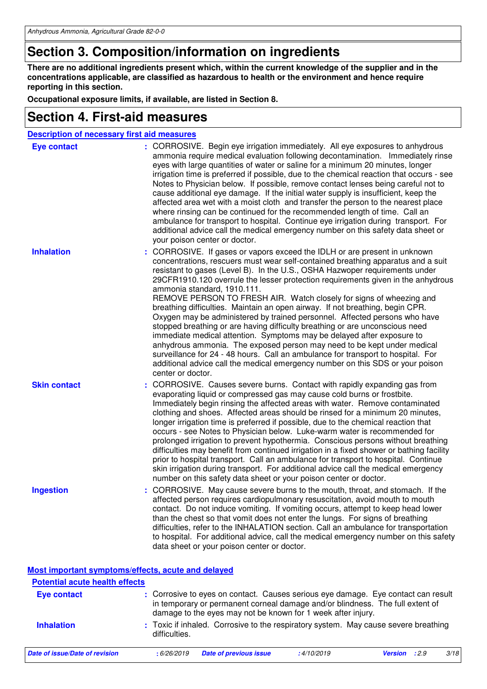## **Section 3. Composition/information on ingredients**

**There are no additional ingredients present which, within the current knowledge of the supplier and in the concentrations applicable, are classified as hazardous to health or the environment and hence require reporting in this section.**

**Occupational exposure limits, if available, are listed in Section 8.**

### **Section 4. First-aid measures**

| <b>Description of necessary first aid measures</b> |                                                                                                                                                                                                                                                                                                                                                                                                                                                                                                                                                                                                                                                                                                                                                                                                                                                                                                                                                                                                                                          |
|----------------------------------------------------|------------------------------------------------------------------------------------------------------------------------------------------------------------------------------------------------------------------------------------------------------------------------------------------------------------------------------------------------------------------------------------------------------------------------------------------------------------------------------------------------------------------------------------------------------------------------------------------------------------------------------------------------------------------------------------------------------------------------------------------------------------------------------------------------------------------------------------------------------------------------------------------------------------------------------------------------------------------------------------------------------------------------------------------|
| <b>Eye contact</b>                                 | : CORROSIVE. Begin eye irrigation immediately. All eye exposures to anhydrous<br>ammonia require medical evaluation following decontamination. Immediately rinse<br>eyes with large quantities of water or saline for a minimum 20 minutes, longer<br>irrigation time is preferred if possible, due to the chemical reaction that occurs - see<br>Notes to Physician below. If possible, remove contact lenses being careful not to<br>cause additional eye damage. If the initial water supply is insufficient, keep the<br>affected area wet with a moist cloth and transfer the person to the nearest place<br>where rinsing can be continued for the recommended length of time. Call an<br>ambulance for transport to hospital. Continue eye irrigation during transport. For<br>additional advice call the medical emergency number on this safety data sheet or<br>your poison center or doctor.                                                                                                                                  |
| <b>Inhalation</b>                                  | CORROSIVE. If gases or vapors exceed the IDLH or are present in unknown<br>÷<br>concentrations, rescuers must wear self-contained breathing apparatus and a suit<br>resistant to gases (Level B). In the U.S., OSHA Hazwoper requirements under<br>29CFR1910.120 overrule the lesser protection requirements given in the anhydrous<br>ammonia standard, 1910.111.<br>REMOVE PERSON TO FRESH AIR. Watch closely for signs of wheezing and<br>breathing difficulties. Maintain an open airway. If not breathing, begin CPR.<br>Oxygen may be administered by trained personnel. Affected persons who have<br>stopped breathing or are having difficulty breathing or are unconscious need<br>immediate medical attention. Symptoms may be delayed after exposure to<br>anhydrous ammonia. The exposed person may need to be kept under medical<br>surveillance for 24 - 48 hours. Call an ambulance for transport to hospital. For<br>additional advice call the medical emergency number on this SDS or your poison<br>center or doctor. |
| <b>Skin contact</b>                                | CORROSIVE. Causes severe burns. Contact with rapidly expanding gas from<br>evaporating liquid or compressed gas may cause cold burns or frostbite.<br>Immediately begin rinsing the affected areas with water. Remove contaminated<br>clothing and shoes. Affected areas should be rinsed for a minimum 20 minutes,<br>longer irrigation time is preferred if possible, due to the chemical reaction that<br>occurs - see Notes to Physician below. Luke-warm water is recommended for<br>prolonged irrigation to prevent hypothermia. Conscious persons without breathing<br>difficulties may benefit from continued irrigation in a fixed shower or bathing facility<br>prior to hospital transport. Call an ambulance for transport to hospital. Continue<br>skin irrigation during transport. For additional advice call the medical emergency<br>number on this safety data sheet or your poison center or doctor.                                                                                                                  |
| <b>Ingestion</b>                                   | CORROSIVE. May cause severe burns to the mouth, throat, and stomach. If the<br>÷<br>affected person requires cardiopulmonary resuscitation, avoid mouth to mouth<br>contact. Do not induce vomiting. If vomiting occurs, attempt to keep head lower<br>than the chest so that vomit does not enter the lungs. For signs of breathing<br>difficulties, refer to the INHALATION section. Call an ambulance for transportation<br>to hospital. For additional advice, call the medical emergency number on this safety<br>data sheet or your poison center or doctor.                                                                                                                                                                                                                                                                                                                                                                                                                                                                       |

**Most important symptoms/effects, acute and delayed**

| <b>Potential acute health effects</b> |               |                                                                                                                                                                                                                                    |            |                      |      |
|---------------------------------------|---------------|------------------------------------------------------------------------------------------------------------------------------------------------------------------------------------------------------------------------------------|------------|----------------------|------|
| <b>Eye contact</b>                    |               | : Corrosive to eyes on contact. Causes serious eye damage. Eye contact can result<br>in temporary or permanent corneal damage and/or blindness. The full extent of<br>damage to the eyes may not be known for 1 week after injury. |            |                      |      |
| <b>Inhalation</b>                     | difficulties. | : Toxic if inhaled. Corrosive to the respiratory system. May cause severe breathing                                                                                                                                                |            |                      |      |
| Date of issue/Date of revision        | : 6/26/2019   | <b>Date of previous issue</b>                                                                                                                                                                                                      | :4/10/2019 | <b>Version</b> : 2.9 | 3/18 |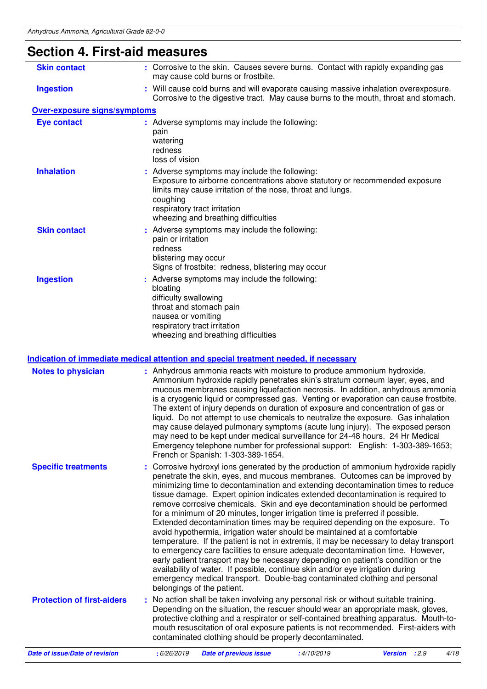## **Section 4. First-aid measures**

| <b>Skin contact</b>                 | : Corrosive to the skin. Causes severe burns. Contact with rapidly expanding gas<br>may cause cold burns or frostbite.                                                                                                                                                        |
|-------------------------------------|-------------------------------------------------------------------------------------------------------------------------------------------------------------------------------------------------------------------------------------------------------------------------------|
| <b>Ingestion</b>                    | : Will cause cold burns and will evaporate causing massive inhalation overexposure.<br>Corrosive to the digestive tract. May cause burns to the mouth, throat and stomach.                                                                                                    |
| <b>Over-exposure signs/symptoms</b> |                                                                                                                                                                                                                                                                               |
| <b>Eye contact</b>                  | : Adverse symptoms may include the following:<br>pain<br>watering<br>redness<br>loss of vision                                                                                                                                                                                |
| <b>Inhalation</b>                   | : Adverse symptoms may include the following:<br>Exposure to airborne concentrations above statutory or recommended exposure<br>limits may cause irritation of the nose, throat and lungs.<br>coughing<br>respiratory tract irritation<br>wheezing and breathing difficulties |
| <b>Skin contact</b>                 | : Adverse symptoms may include the following:<br>pain or irritation<br>redness<br>blistering may occur<br>Signs of frostbite: redness, blistering may occur                                                                                                                   |
| <b>Ingestion</b>                    | : Adverse symptoms may include the following:<br>bloating<br>difficulty swallowing<br>throat and stomach pain<br>nausea or vomiting<br>respiratory tract irritation<br>wheezing and breathing difficulties                                                                    |

### **Indication of immediate medical attention and special treatment needed, if necessary**

| <b>Notes to physician</b>         |             | : Anhydrous ammonia reacts with moisture to produce ammonium hydroxide.<br>French or Spanish: 1-303-389-1654.                                                                                                                                                                                                                                            |            | Ammonium hydroxide rapidly penetrates skin's stratum corneum layer, eyes, and<br>mucous membranes causing liquefaction necrosis. In addition, anhydrous ammonia<br>is a cryogenic liquid or compressed gas. Venting or evaporation can cause frostbite.<br>The extent of injury depends on duration of exposure and concentration of gas or<br>liquid. Do not attempt to use chemicals to neutralize the exposure. Gas inhalation<br>may cause delayed pulmonary symptoms (acute lung injury). The exposed person<br>may need to be kept under medical surveillance for 24-48 hours. 24 Hr Medical<br>Emergency telephone number for professional support: English: 1-303-389-1653;                                                                                       |
|-----------------------------------|-------------|----------------------------------------------------------------------------------------------------------------------------------------------------------------------------------------------------------------------------------------------------------------------------------------------------------------------------------------------------------|------------|---------------------------------------------------------------------------------------------------------------------------------------------------------------------------------------------------------------------------------------------------------------------------------------------------------------------------------------------------------------------------------------------------------------------------------------------------------------------------------------------------------------------------------------------------------------------------------------------------------------------------------------------------------------------------------------------------------------------------------------------------------------------------|
| <b>Specific treatments</b>        |             | for a minimum of 20 minutes, longer irrigation time is preferred if possible.<br>avoid hypothermia, irrigation water should be maintained at a comfortable<br>availability of water. If possible, continue skin and/or eye irrigation during<br>emergency medical transport. Double-bag contaminated clothing and personal<br>belongings of the patient. |            | : Corrosive hydroxyl ions generated by the production of ammonium hydroxide rapidly<br>penetrate the skin, eyes, and mucous membranes. Outcomes can be improved by<br>minimizing time to decontamination and extending decontamination times to reduce<br>tissue damage. Expert opinion indicates extended decontamination is required to<br>remove corrosive chemicals. Skin and eye decontamination should be performed<br>Extended decontamination times may be required depending on the exposure. To<br>temperature. If the patient is not in extremis, it may be necessary to delay transport<br>to emergency care facilities to ensure adequate decontamination time. However,<br>early patient transport may be necessary depending on patient's condition or the |
| <b>Protection of first-aiders</b> |             | : No action shall be taken involving any personal risk or without suitable training.<br>contaminated clothing should be properly decontaminated.                                                                                                                                                                                                         |            | Depending on the situation, the rescuer should wear an appropriate mask, gloves,<br>protective clothing and a respirator or self-contained breathing apparatus. Mouth-to-<br>mouth resuscitation of oral exposure patients is not recommended. First-aiders with                                                                                                                                                                                                                                                                                                                                                                                                                                                                                                          |
| Date of issue/Date of revision    | : 6/26/2019 | <b>Date of previous issue</b>                                                                                                                                                                                                                                                                                                                            | :4/10/2019 | Version : 2.9<br>4/18                                                                                                                                                                                                                                                                                                                                                                                                                                                                                                                                                                                                                                                                                                                                                     |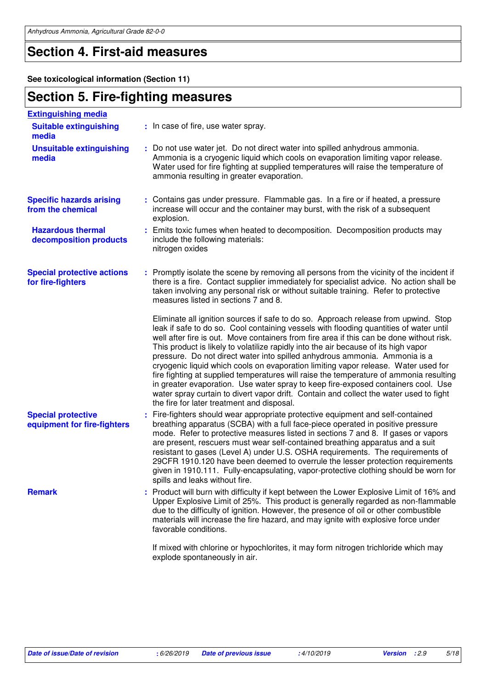## **Section 4. First-aid measures**

**See toxicological information (Section 11)**

## **Section 5. Fire-fighting measures**

| <b>Extinguishing media</b>                               |                                                                                                                                                                                                                                                                                                                                                                                                                                                                                                                                                                                                                                                                                                                                                                                                                                                             |
|----------------------------------------------------------|-------------------------------------------------------------------------------------------------------------------------------------------------------------------------------------------------------------------------------------------------------------------------------------------------------------------------------------------------------------------------------------------------------------------------------------------------------------------------------------------------------------------------------------------------------------------------------------------------------------------------------------------------------------------------------------------------------------------------------------------------------------------------------------------------------------------------------------------------------------|
| <b>Suitable extinguishing</b><br>media                   | : In case of fire, use water spray.                                                                                                                                                                                                                                                                                                                                                                                                                                                                                                                                                                                                                                                                                                                                                                                                                         |
| <b>Unsuitable extinguishing</b><br>media                 | : Do not use water jet. Do not direct water into spilled anhydrous ammonia.<br>Ammonia is a cryogenic liquid which cools on evaporation limiting vapor release.<br>Water used for fire fighting at supplied temperatures will raise the temperature of<br>ammonia resulting in greater evaporation.                                                                                                                                                                                                                                                                                                                                                                                                                                                                                                                                                         |
| <b>Specific hazards arising</b><br>from the chemical     | : Contains gas under pressure. Flammable gas. In a fire or if heated, a pressure<br>increase will occur and the container may burst, with the risk of a subsequent<br>explosion.                                                                                                                                                                                                                                                                                                                                                                                                                                                                                                                                                                                                                                                                            |
| <b>Hazardous thermal</b><br>decomposition products       | : Emits toxic fumes when heated to decomposition. Decomposition products may<br>include the following materials:<br>nitrogen oxides                                                                                                                                                                                                                                                                                                                                                                                                                                                                                                                                                                                                                                                                                                                         |
| <b>Special protective actions</b><br>for fire-fighters   | : Promptly isolate the scene by removing all persons from the vicinity of the incident if<br>there is a fire. Contact supplier immediately for specialist advice. No action shall be<br>taken involving any personal risk or without suitable training. Refer to protective<br>measures listed in sections 7 and 8.                                                                                                                                                                                                                                                                                                                                                                                                                                                                                                                                         |
|                                                          | Eliminate all ignition sources if safe to do so. Approach release from upwind. Stop<br>leak if safe to do so. Cool containing vessels with flooding quantities of water until<br>well after fire is out. Move containers from fire area if this can be done without risk.<br>This product is likely to volatilize rapidly into the air because of its high vapor<br>pressure. Do not direct water into spilled anhydrous ammonia. Ammonia is a<br>cryogenic liquid which cools on evaporation limiting vapor release. Water used for<br>fire fighting at supplied temperatures will raise the temperature of ammonia resulting<br>in greater evaporation. Use water spray to keep fire-exposed containers cool. Use<br>water spray curtain to divert vapor drift. Contain and collect the water used to fight<br>the fire for later treatment and disposal. |
| <b>Special protective</b><br>equipment for fire-fighters | : Fire-fighters should wear appropriate protective equipment and self-contained<br>breathing apparatus (SCBA) with a full face-piece operated in positive pressure<br>mode. Refer to protective measures listed in sections 7 and 8. If gases or vapors<br>are present, rescuers must wear self-contained breathing apparatus and a suit<br>resistant to gases (Level A) under U.S. OSHA requirements. The requirements of<br>29CFR 1910.120 have been deemed to overrule the lesser protection requirements<br>given in 1910.111. Fully-encapsulating, vapor-protective clothing should be worn for<br>spills and leaks without fire.                                                                                                                                                                                                                      |
| <b>Remark</b>                                            | Product will burn with difficulty if kept between the Lower Explosive Limit of 16% and<br>Upper Explosive Limit of 25%. This product is generally regarded as non-flammable<br>due to the difficulty of ignition. However, the presence of oil or other combustible<br>materials will increase the fire hazard, and may ignite with explosive force under<br>favorable conditions.                                                                                                                                                                                                                                                                                                                                                                                                                                                                          |
|                                                          | If mixed with chlorine or hypochlorites, it may form nitrogen trichloride which may<br>explode spontaneously in air.                                                                                                                                                                                                                                                                                                                                                                                                                                                                                                                                                                                                                                                                                                                                        |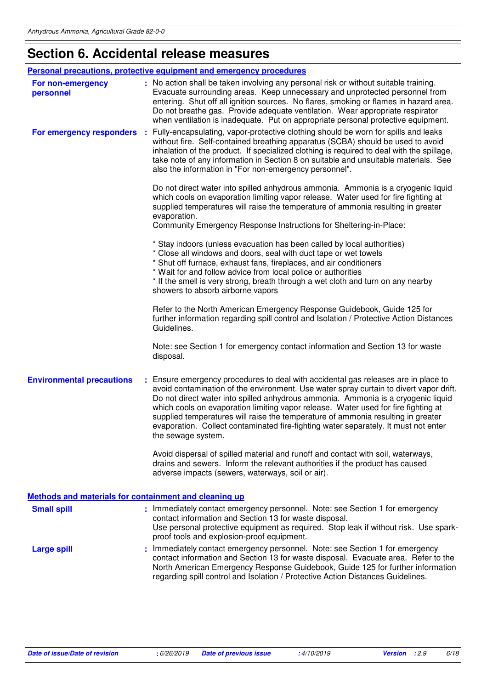# **Section 6. Accidental release measures**

|                                                       | <b>Personal precautions, protective equipment and emergency procedures</b>                                                                                                                                                                                                                                                                                                                                                                                                                                                                               |
|-------------------------------------------------------|----------------------------------------------------------------------------------------------------------------------------------------------------------------------------------------------------------------------------------------------------------------------------------------------------------------------------------------------------------------------------------------------------------------------------------------------------------------------------------------------------------------------------------------------------------|
| For non-emergency<br>personnel                        | : No action shall be taken involving any personal risk or without suitable training.<br>Evacuate surrounding areas. Keep unnecessary and unprotected personnel from<br>entering. Shut off all ignition sources. No flares, smoking or flames in hazard area.<br>Do not breathe gas. Provide adequate ventilation. Wear appropriate respirator<br>when ventilation is inadequate. Put on appropriate personal protective equipment.                                                                                                                       |
| For emergency responders                              | Fully-encapsulating, vapor-protective clothing should be worn for spills and leaks<br>- 11<br>without fire. Self-contained breathing apparatus (SCBA) should be used to avoid<br>inhalation of the product. If specialized clothing is required to deal with the spillage,<br>take note of any information in Section 8 on suitable and unsuitable materials. See<br>also the information in "For non-emergency personnel".                                                                                                                              |
|                                                       | Do not direct water into spilled anhydrous ammonia. Ammonia is a cryogenic liquid<br>which cools on evaporation limiting vapor release. Water used for fire fighting at<br>supplied temperatures will raise the temperature of ammonia resulting in greater<br>evaporation.<br>Community Emergency Response Instructions for Sheltering-in-Place:                                                                                                                                                                                                        |
|                                                       | * Stay indoors (unless evacuation has been called by local authorities)<br>* Close all windows and doors, seal with duct tape or wet towels<br>* Shut off furnace, exhaust fans, fireplaces, and air conditioners<br>* Wait for and follow advice from local police or authorities<br>* If the smell is very strong, breath through a wet cloth and turn on any nearby<br>showers to absorb airborne vapors                                                                                                                                              |
|                                                       | Refer to the North American Emergency Response Guidebook, Guide 125 for<br>further information regarding spill control and Isolation / Protective Action Distances<br>Guidelines.                                                                                                                                                                                                                                                                                                                                                                        |
|                                                       | Note: see Section 1 for emergency contact information and Section 13 for waste<br>disposal.                                                                                                                                                                                                                                                                                                                                                                                                                                                              |
| <b>Environmental precautions</b>                      | : Ensure emergency procedures to deal with accidental gas releases are in place to<br>avoid contamination of the environment. Use water spray curtain to divert vapor drift.<br>Do not direct water into spilled anhydrous ammonia. Ammonia is a cryogenic liquid<br>which cools on evaporation limiting vapor release. Water used for fire fighting at<br>supplied temperatures will raise the temperature of ammonia resulting in greater<br>evaporation. Collect contaminated fire-fighting water separately. It must not enter<br>the sewage system. |
|                                                       | Avoid dispersal of spilled material and runoff and contact with soil, waterways,<br>drains and sewers. Inform the relevant authorities if the product has caused<br>adverse impacts (sewers, waterways, soil or air).                                                                                                                                                                                                                                                                                                                                    |
| Methods and materials for containment and cleaning up |                                                                                                                                                                                                                                                                                                                                                                                                                                                                                                                                                          |
| <b>Small spill</b>                                    | : Immediately contact emergency personnel. Note: see Section 1 for emergency<br>contact information and Section 13 for waste disposal.<br>Use personal protective equipment as required. Stop leak if without risk. Use spark-<br>proof tools and explosion-proof equipment.                                                                                                                                                                                                                                                                             |
| <b>Large spill</b>                                    | : Immediately contact emergency personnel. Note: see Section 1 for emergency<br>contact information and Section 13 for waste disposal. Evacuate area. Refer to the<br>North American Emergency Response Guidebook, Guide 125 for further information<br>regarding spill control and Isolation / Protective Action Distances Guidelines.                                                                                                                                                                                                                  |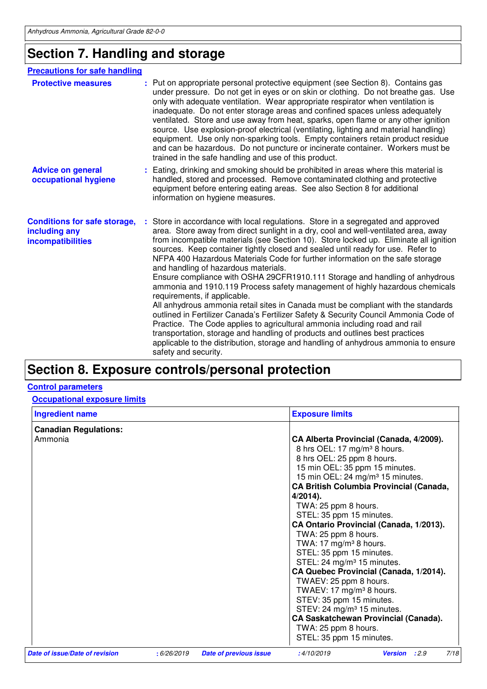## **Section 7. Handling and storage**

| <b>Precautions for safe handling</b>                                      |                                                                                                                                                                                                                                                                                                                                                                                                                                                                                                                                                                                                                                                                                                                                                                                                                                                                                                                                                                                                                                                                                                                                     |
|---------------------------------------------------------------------------|-------------------------------------------------------------------------------------------------------------------------------------------------------------------------------------------------------------------------------------------------------------------------------------------------------------------------------------------------------------------------------------------------------------------------------------------------------------------------------------------------------------------------------------------------------------------------------------------------------------------------------------------------------------------------------------------------------------------------------------------------------------------------------------------------------------------------------------------------------------------------------------------------------------------------------------------------------------------------------------------------------------------------------------------------------------------------------------------------------------------------------------|
| <b>Protective measures</b>                                                | Put on appropriate personal protective equipment (see Section 8). Contains gas<br>under pressure. Do not get in eyes or on skin or clothing. Do not breathe gas. Use<br>only with adequate ventilation. Wear appropriate respirator when ventilation is<br>inadequate. Do not enter storage areas and confined spaces unless adequately<br>ventilated. Store and use away from heat, sparks, open flame or any other ignition<br>source. Use explosion-proof electrical (ventilating, lighting and material handling)<br>equipment. Use only non-sparking tools. Empty containers retain product residue<br>and can be hazardous. Do not puncture or incinerate container. Workers must be<br>trained in the safe handling and use of this product.                                                                                                                                                                                                                                                                                                                                                                                 |
| <b>Advice on general</b><br>occupational hygiene                          | : Eating, drinking and smoking should be prohibited in areas where this material is<br>handled, stored and processed. Remove contaminated clothing and protective<br>equipment before entering eating areas. See also Section 8 for additional<br>information on hygiene measures.                                                                                                                                                                                                                                                                                                                                                                                                                                                                                                                                                                                                                                                                                                                                                                                                                                                  |
| <b>Conditions for safe storage,</b><br>including any<br>incompatibilities | Store in accordance with local regulations. Store in a segregated and approved<br>area. Store away from direct sunlight in a dry, cool and well-ventilated area, away<br>from incompatible materials (see Section 10). Store locked up. Eliminate all ignition<br>sources. Keep container tightly closed and sealed until ready for use. Refer to<br>NFPA 400 Hazardous Materials Code for further information on the safe storage<br>and handling of hazardous materials.<br>Ensure compliance with OSHA 29CFR1910.111 Storage and handling of anhydrous<br>ammonia and 1910.119 Process safety management of highly hazardous chemicals<br>requirements, if applicable.<br>All anhydrous ammonia retail sites in Canada must be compliant with the standards<br>outlined in Fertilizer Canada's Fertilizer Safety & Security Council Ammonia Code of<br>Practice. The Code applies to agricultural ammonia including road and rail<br>transportation, storage and handling of products and outlines best practices<br>applicable to the distribution, storage and handling of anhydrous ammonia to ensure<br>safety and security. |

## **Section 8. Exposure controls/personal protection**

### **Control parameters**

**Occupational exposure limits**

| <b>Ingredient name</b>         |            |                               | <b>Exposure limits</b>                                                                                                                                                                                                                                                                                                                                                                                                                                                                                                                                                                                                                                                                                                                                                                       |
|--------------------------------|------------|-------------------------------|----------------------------------------------------------------------------------------------------------------------------------------------------------------------------------------------------------------------------------------------------------------------------------------------------------------------------------------------------------------------------------------------------------------------------------------------------------------------------------------------------------------------------------------------------------------------------------------------------------------------------------------------------------------------------------------------------------------------------------------------------------------------------------------------|
| <b>Canadian Regulations:</b>   |            |                               |                                                                                                                                                                                                                                                                                                                                                                                                                                                                                                                                                                                                                                                                                                                                                                                              |
| Ammonia                        |            |                               | CA Alberta Provincial (Canada, 4/2009).<br>8 hrs OEL: 17 mg/m <sup>3</sup> 8 hours.<br>8 hrs OEL: 25 ppm 8 hours.<br>15 min OEL: 35 ppm 15 minutes.<br>15 min OEL: 24 mg/m <sup>3</sup> 15 minutes.<br><b>CA British Columbia Provincial (Canada,</b><br>$4/2014$ ).<br>TWA: 25 ppm 8 hours.<br>STEL: 35 ppm 15 minutes.<br>CA Ontario Provincial (Canada, 1/2013).<br>TWA: 25 ppm 8 hours.<br>TWA: 17 mg/m <sup>3</sup> 8 hours.<br>STEL: 35 ppm 15 minutes.<br>STEL: 24 mg/m <sup>3</sup> 15 minutes.<br>CA Quebec Provincial (Canada, 1/2014).<br>TWAEV: 25 ppm 8 hours.<br>TWAEV: 17 mg/m <sup>3</sup> 8 hours.<br>STEV: 35 ppm 15 minutes.<br>STEV: 24 mg/m <sup>3</sup> 15 minutes.<br><b>CA Saskatchewan Provincial (Canada).</b><br>TWA: 25 ppm 8 hours.<br>STEL: 35 ppm 15 minutes. |
| Date of issue/Date of revision | :6/26/2019 | <b>Date of previous issue</b> | 7/18<br>:4/10/2019<br>Version : 2.9                                                                                                                                                                                                                                                                                                                                                                                                                                                                                                                                                                                                                                                                                                                                                          |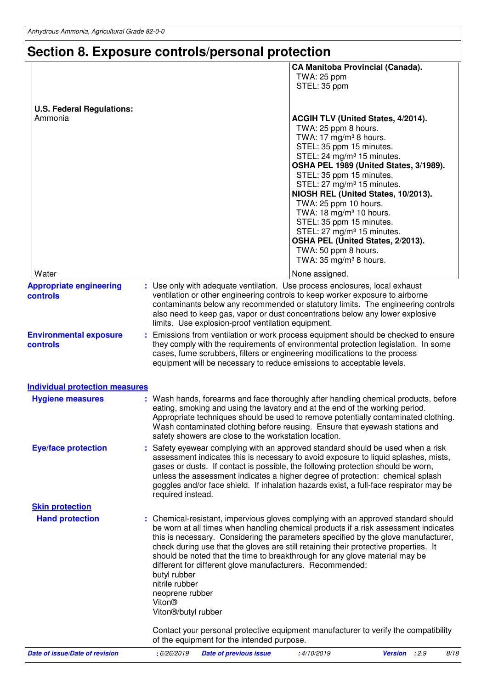# **Section 8. Exposure controls/personal protection**

|                                             |                                                                                                |                                                                                                                                                                                                                                                                                                                                                                                                                                                                                                     | TWA: 25 ppm<br>STEL: 35 ppm                                                                                                                                                                                                                                                                                                                                                                                | <b>CA Manitoba Provincial (Canada).</b>                                                                                                                  |      |
|---------------------------------------------|------------------------------------------------------------------------------------------------|-----------------------------------------------------------------------------------------------------------------------------------------------------------------------------------------------------------------------------------------------------------------------------------------------------------------------------------------------------------------------------------------------------------------------------------------------------------------------------------------------------|------------------------------------------------------------------------------------------------------------------------------------------------------------------------------------------------------------------------------------------------------------------------------------------------------------------------------------------------------------------------------------------------------------|----------------------------------------------------------------------------------------------------------------------------------------------------------|------|
| <b>U.S. Federal Regulations:</b><br>Ammonia |                                                                                                |                                                                                                                                                                                                                                                                                                                                                                                                                                                                                                     | TWA: 25 ppm 8 hours.<br>TWA: 17 mg/m <sup>3</sup> 8 hours.<br>STEL: 35 ppm 15 minutes.<br>STEL: 24 mg/m <sup>3</sup> 15 minutes.<br>STEL: 35 ppm 15 minutes.<br>STEL: 27 mg/m <sup>3</sup> 15 minutes.<br>TWA: 25 ppm 10 hours.<br>TWA: 18 mg/m <sup>3</sup> 10 hours.<br>STEL: 35 ppm 15 minutes.<br>STEL: 27 mg/m <sup>3</sup> 15 minutes.<br>TWA: 50 ppm 8 hours.<br>TWA: 35 mg/m <sup>3</sup> 8 hours. | ACGIH TLV (United States, 4/2014).<br>OSHA PEL 1989 (United States, 3/1989).<br>NIOSH REL (United States, 10/2013).<br>OSHA PEL (United States, 2/2013). |      |
| Water                                       |                                                                                                |                                                                                                                                                                                                                                                                                                                                                                                                                                                                                                     | None assigned.                                                                                                                                                                                                                                                                                                                                                                                             |                                                                                                                                                          |      |
| <b>Appropriate engineering</b><br>controls  |                                                                                                | : Use only with adequate ventilation. Use process enclosures, local exhaust<br>ventilation or other engineering controls to keep worker exposure to airborne<br>contaminants below any recommended or statutory limits. The engineering controls<br>also need to keep gas, vapor or dust concentrations below any lower explosive<br>limits. Use explosion-proof ventilation equipment.                                                                                                             |                                                                                                                                                                                                                                                                                                                                                                                                            |                                                                                                                                                          |      |
| <b>Environmental exposure</b><br>controls   |                                                                                                | : Emissions from ventilation or work process equipment should be checked to ensure<br>they comply with the requirements of environmental protection legislation. In some<br>cases, fume scrubbers, filters or engineering modifications to the process<br>equipment will be necessary to reduce emissions to acceptable levels.                                                                                                                                                                     |                                                                                                                                                                                                                                                                                                                                                                                                            |                                                                                                                                                          |      |
| <b>Individual protection measures</b>       |                                                                                                |                                                                                                                                                                                                                                                                                                                                                                                                                                                                                                     |                                                                                                                                                                                                                                                                                                                                                                                                            |                                                                                                                                                          |      |
| <b>Hygiene measures</b>                     |                                                                                                | : Wash hands, forearms and face thoroughly after handling chemical products, before<br>eating, smoking and using the lavatory and at the end of the working period.<br>Appropriate techniques should be used to remove potentially contaminated clothing.<br>Wash contaminated clothing before reusing. Ensure that eyewash stations and<br>safety showers are close to the workstation location.                                                                                                   |                                                                                                                                                                                                                                                                                                                                                                                                            |                                                                                                                                                          |      |
| <b>Eye/face protection</b>                  | required instead.                                                                              | : Safety eyewear complying with an approved standard should be used when a risk<br>assessment indicates this is necessary to avoid exposure to liquid splashes, mists,<br>gases or dusts. If contact is possible, the following protection should be worn,<br>unless the assessment indicates a higher degree of protection: chemical splash<br>goggles and/or face shield. If inhalation hazards exist, a full-face respirator may be                                                              |                                                                                                                                                                                                                                                                                                                                                                                                            |                                                                                                                                                          |      |
| <b>Skin protection</b>                      |                                                                                                |                                                                                                                                                                                                                                                                                                                                                                                                                                                                                                     |                                                                                                                                                                                                                                                                                                                                                                                                            |                                                                                                                                                          |      |
| <b>Hand protection</b>                      | butyl rubber<br>nitrile rubber<br>neoprene rubber<br>Viton <sup>®</sup><br>Viton®/butyl rubber | : Chemical-resistant, impervious gloves complying with an approved standard should<br>be worn at all times when handling chemical products if a risk assessment indicates<br>this is necessary. Considering the parameters specified by the glove manufacturer,<br>check during use that the gloves are still retaining their protective properties. It<br>should be noted that the time to breakthrough for any glove material may be<br>different for different glove manufacturers. Recommended: |                                                                                                                                                                                                                                                                                                                                                                                                            |                                                                                                                                                          |      |
|                                             |                                                                                                | Contact your personal protective equipment manufacturer to verify the compatibility<br>of the equipment for the intended purpose.                                                                                                                                                                                                                                                                                                                                                                   |                                                                                                                                                                                                                                                                                                                                                                                                            |                                                                                                                                                          |      |
| <b>Date of issue/Date of revision</b>       | : 6/26/2019                                                                                    | <b>Date of previous issue</b>                                                                                                                                                                                                                                                                                                                                                                                                                                                                       | : 4/10/2019                                                                                                                                                                                                                                                                                                                                                                                                | Version : 2.9                                                                                                                                            | 8/18 |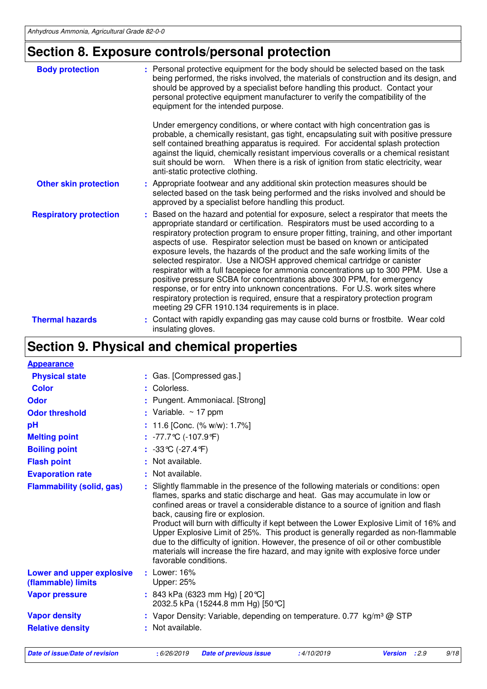# **Section 8. Exposure controls/personal protection**

| <b>Body protection</b>        | : Personal protective equipment for the body should be selected based on the task<br>being performed, the risks involved, the materials of construction and its design, and<br>should be approved by a specialist before handling this product. Contact your<br>personal protective equipment manufacturer to verify the compatibility of the<br>equipment for the intended purpose.                                                                                                                                                                                                                                                                                                                                                                                                                                                                                                                 |
|-------------------------------|------------------------------------------------------------------------------------------------------------------------------------------------------------------------------------------------------------------------------------------------------------------------------------------------------------------------------------------------------------------------------------------------------------------------------------------------------------------------------------------------------------------------------------------------------------------------------------------------------------------------------------------------------------------------------------------------------------------------------------------------------------------------------------------------------------------------------------------------------------------------------------------------------|
|                               | Under emergency conditions, or where contact with high concentration gas is<br>probable, a chemically resistant, gas tight, encapsulating suit with positive pressure<br>self contained breathing apparatus is required. For accidental splash protection<br>against the liquid, chemically resistant impervious coveralls or a chemical resistant<br>suit should be worn.  When there is a risk of ignition from static electricity, wear<br>anti-static protective clothing.                                                                                                                                                                                                                                                                                                                                                                                                                       |
| <b>Other skin protection</b>  | : Appropriate footwear and any additional skin protection measures should be<br>selected based on the task being performed and the risks involved and should be<br>approved by a specialist before handling this product.                                                                                                                                                                                                                                                                                                                                                                                                                                                                                                                                                                                                                                                                            |
| <b>Respiratory protection</b> | : Based on the hazard and potential for exposure, select a respirator that meets the<br>appropriate standard or certification. Respirators must be used according to a<br>respiratory protection program to ensure proper fitting, training, and other important<br>aspects of use. Respirator selection must be based on known or anticipated<br>exposure levels, the hazards of the product and the safe working limits of the<br>selected respirator. Use a NIOSH approved chemical cartridge or canister<br>respirator with a full facepiece for ammonia concentrations up to 300 PPM. Use a<br>positive pressure SCBA for concentrations above 300 PPM, for emergency<br>response, or for entry into unknown concentrations. For U.S. work sites where<br>respiratory protection is required, ensure that a respiratory protection program<br>meeting 29 CFR 1910.134 requirements is in place. |
| <b>Thermal hazards</b>        | Contact with rapidly expanding gas may cause cold burns or frostbite. Wear cold<br>insulating gloves.                                                                                                                                                                                                                                                                                                                                                                                                                                                                                                                                                                                                                                                                                                                                                                                                |

# **Section 9. Physical and chemical properties**

| <b>Appearance</b>                               |                                                                                                                                                                                                                                                                                                                                                                                                                                                                                                                                                                                                                                                                                 |  |  |  |
|-------------------------------------------------|---------------------------------------------------------------------------------------------------------------------------------------------------------------------------------------------------------------------------------------------------------------------------------------------------------------------------------------------------------------------------------------------------------------------------------------------------------------------------------------------------------------------------------------------------------------------------------------------------------------------------------------------------------------------------------|--|--|--|
| <b>Physical state</b>                           | : Gas. [Compressed gas.]                                                                                                                                                                                                                                                                                                                                                                                                                                                                                                                                                                                                                                                        |  |  |  |
| <b>Color</b>                                    | : Colorless.                                                                                                                                                                                                                                                                                                                                                                                                                                                                                                                                                                                                                                                                    |  |  |  |
| <b>Odor</b>                                     | : Pungent. Ammoniacal. [Strong]                                                                                                                                                                                                                                                                                                                                                                                                                                                                                                                                                                                                                                                 |  |  |  |
| <b>Odor threshold</b>                           | : Variable. $\sim$ 17 ppm                                                                                                                                                                                                                                                                                                                                                                                                                                                                                                                                                                                                                                                       |  |  |  |
| pH                                              | : 11.6 [Conc. $(\% w/w)$ : 1.7%]                                                                                                                                                                                                                                                                                                                                                                                                                                                                                                                                                                                                                                                |  |  |  |
| <b>Melting point</b>                            | $: -77.7$ ℃ (-107.9 °F)                                                                                                                                                                                                                                                                                                                                                                                                                                                                                                                                                                                                                                                         |  |  |  |
| <b>Boiling point</b>                            | : $-33^{\circ}C$ ( $-27.4^{\circ}F$ )                                                                                                                                                                                                                                                                                                                                                                                                                                                                                                                                                                                                                                           |  |  |  |
| <b>Flash point</b>                              | : Not available.                                                                                                                                                                                                                                                                                                                                                                                                                                                                                                                                                                                                                                                                |  |  |  |
| <b>Evaporation rate</b>                         | : Not available.                                                                                                                                                                                                                                                                                                                                                                                                                                                                                                                                                                                                                                                                |  |  |  |
| <b>Flammability (solid, gas)</b>                | Slightly flammable in the presence of the following materials or conditions: open<br>flames, sparks and static discharge and heat. Gas may accumulate in low or<br>confined areas or travel a considerable distance to a source of ignition and flash<br>back, causing fire or explosion.<br>Product will burn with difficulty if kept between the Lower Explosive Limit of 16% and<br>Upper Explosive Limit of 25%. This product is generally regarded as non-flammable<br>due to the difficulty of ignition. However, the presence of oil or other combustible<br>materials will increase the fire hazard, and may ignite with explosive force under<br>favorable conditions. |  |  |  |
| Lower and upper explosive<br>(flammable) limits | $:$ Lower: 16%<br>Upper: 25%                                                                                                                                                                                                                                                                                                                                                                                                                                                                                                                                                                                                                                                    |  |  |  |
| <b>Vapor pressure</b>                           | : 843 kPa (6323 mm Hg) [20 °C]<br>2032.5 kPa (15244.8 mm Hg) [50 °C]                                                                                                                                                                                                                                                                                                                                                                                                                                                                                                                                                                                                            |  |  |  |
| <b>Vapor density</b>                            | : Vapor Density: Variable, depending on temperature. 0.77 kg/m <sup>3</sup> @ STP                                                                                                                                                                                                                                                                                                                                                                                                                                                                                                                                                                                               |  |  |  |
| <b>Relative density</b>                         | : Not available.                                                                                                                                                                                                                                                                                                                                                                                                                                                                                                                                                                                                                                                                |  |  |  |

**Date of issue/Date of revision :** 6/26/2019 **Date of previous issue :** 4/10/2019 **Version :** 2.9 9/18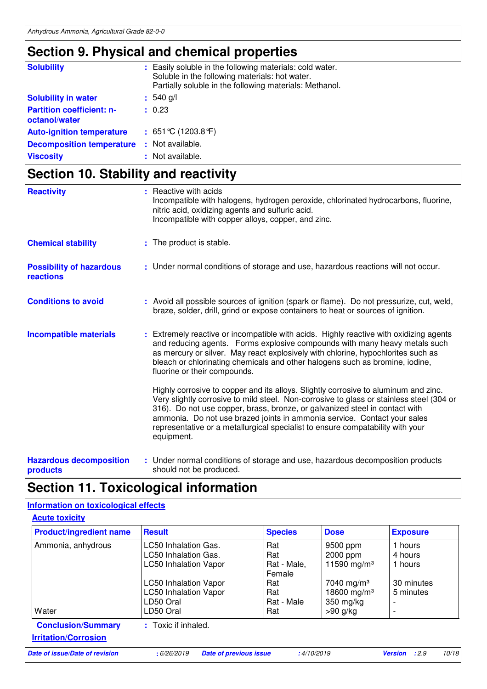## **Section 9. Physical and chemical properties**

| <b>Solubility</b>                                 | : Easily soluble in the following materials: cold water.<br>Soluble in the following materials: hot water.<br>Partially soluble in the following materials: Methanol. |
|---------------------------------------------------|-----------------------------------------------------------------------------------------------------------------------------------------------------------------------|
| <b>Solubility in water</b>                        | $: 540$ g/l                                                                                                                                                           |
| <b>Partition coefficient: n-</b><br>octanol/water | : 0.23                                                                                                                                                                |
| <b>Auto-ignition temperature</b>                  | : $651^{\circ}$ C (1203.8 $^{\circ}$ F)                                                                                                                               |
| <b>Decomposition temperature</b>                  | : Not available.                                                                                                                                                      |
| <b>Viscosity</b>                                  | : Not available.                                                                                                                                                      |

## **Section 10. Stability and reactivity**

| <b>Reactivity</b>                            | : Reactive with acids<br>Incompatible with halogens, hydrogen peroxide, chlorinated hydrocarbons, fluorine,<br>nitric acid, oxidizing agents and sulfuric acid.<br>Incompatible with copper alloys, copper, and zinc.                                                                                                                                                                                                                      |
|----------------------------------------------|--------------------------------------------------------------------------------------------------------------------------------------------------------------------------------------------------------------------------------------------------------------------------------------------------------------------------------------------------------------------------------------------------------------------------------------------|
| <b>Chemical stability</b>                    | : The product is stable.                                                                                                                                                                                                                                                                                                                                                                                                                   |
| <b>Possibility of hazardous</b><br>reactions | : Under normal conditions of storage and use, hazardous reactions will not occur.                                                                                                                                                                                                                                                                                                                                                          |
| <b>Conditions to avoid</b>                   | : Avoid all possible sources of ignition (spark or flame). Do not pressurize, cut, weld,<br>braze, solder, drill, grind or expose containers to heat or sources of ignition.                                                                                                                                                                                                                                                               |
| <b>Incompatible materials</b>                | : Extremely reactive or incompatible with acids. Highly reactive with oxidizing agents<br>and reducing agents. Forms explosive compounds with many heavy metals such<br>as mercury or silver. May react explosively with chlorine, hypochlorites such as<br>bleach or chlorinating chemicals and other halogens such as bromine, iodine,<br>fluorine or their compounds.                                                                   |
|                                              | Highly corrosive to copper and its alloys. Slightly corrosive to aluminum and zinc.<br>Very slightly corrosive to mild steel. Non-corrosive to glass or stainless steel (304 or<br>316). Do not use copper, brass, bronze, or galvanized steel in contact with<br>ammonia. Do not use brazed joints in ammonia service. Contact your sales<br>representative or a metallurgical specialist to ensure compatability with your<br>equipment. |
| Hazardous decomposition                      | . Under normal conditions of storage and use hazardous decomposition products                                                                                                                                                                                                                                                                                                                                                              |

**Hazardous decomposition products** Under normal conditions of storage and use, hazardous decomposition products should not be produced. **:**

### **Section 11. Toxicological information**

### **Information on toxicological effects**

**Acute toxicity**

| <b>Product/ingredient name</b> | <b>Result</b>                | <b>Species</b> | <b>Dose</b>             | <b>Exposure</b>          |
|--------------------------------|------------------------------|----------------|-------------------------|--------------------------|
| Ammonia, anhydrous             | LC50 Inhalation Gas.         | Rat            | 9500 ppm                | 1 hours                  |
|                                | <b>LC50 Inhalation Gas.</b>  | Rat            | 2000 ppm                | 4 hours                  |
|                                | <b>LC50 Inhalation Vapor</b> | Rat - Male,    | 11590 mg/m <sup>3</sup> | 1 hours                  |
|                                |                              | Female         |                         |                          |
|                                | <b>LC50 Inhalation Vapor</b> | Rat            | 7040 mg/m <sup>3</sup>  | 30 minutes               |
|                                | <b>LC50 Inhalation Vapor</b> | Rat            | 18600 mg/m <sup>3</sup> | 5 minutes                |
|                                | LD50 Oral                    | Rat - Male     | 350 mg/kg               | $\overline{a}$           |
| Water                          | LD50 Oral                    | Rat            | $>90$ g/kg              | $\overline{\phantom{a}}$ |
| <b>Conclusion/Summary</b>      | : Toxic if inhaled.          |                |                         |                          |
| <b>Irritation/Corrosion</b>    |                              |                |                         |                          |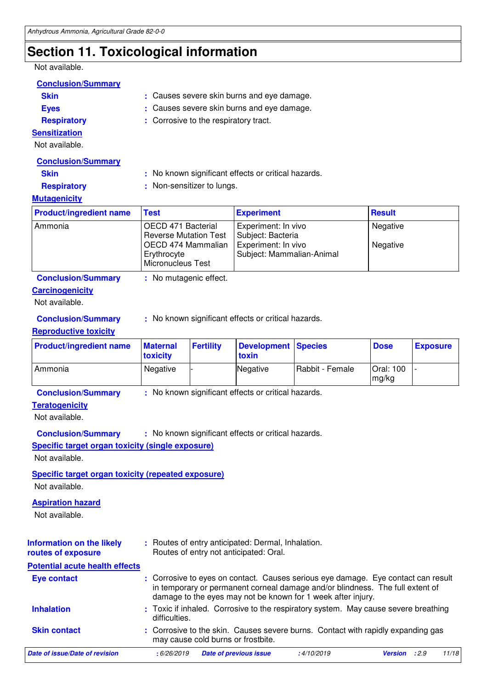# **Section 11. Toxicological information**

Not available.

| ι νυι αναιιαυισ.                                          |                                   |                                                     |                                                                                              |                                                                                                                                               |                    |                 |       |  |
|-----------------------------------------------------------|-----------------------------------|-----------------------------------------------------|----------------------------------------------------------------------------------------------|-----------------------------------------------------------------------------------------------------------------------------------------------|--------------------|-----------------|-------|--|
| <b>Conclusion/Summary</b>                                 |                                   |                                                     |                                                                                              |                                                                                                                                               |                    |                 |       |  |
| <b>Skin</b>                                               |                                   | : Causes severe skin burns and eye damage.          |                                                                                              |                                                                                                                                               |                    |                 |       |  |
| <b>Eyes</b>                                               |                                   | Causes severe skin burns and eye damage.            |                                                                                              |                                                                                                                                               |                    |                 |       |  |
| <b>Respiratory</b>                                        |                                   | : Corrosive to the respiratory tract.               |                                                                                              |                                                                                                                                               |                    |                 |       |  |
| <b>Sensitization</b>                                      |                                   |                                                     |                                                                                              |                                                                                                                                               |                    |                 |       |  |
| Not available.                                            |                                   |                                                     |                                                                                              |                                                                                                                                               |                    |                 |       |  |
| <b>Conclusion/Summary</b>                                 |                                   |                                                     |                                                                                              |                                                                                                                                               |                    |                 |       |  |
| <b>Skin</b>                                               |                                   | : No known significant effects or critical hazards. |                                                                                              |                                                                                                                                               |                    |                 |       |  |
| <b>Respiratory</b>                                        |                                   | Non-sensitizer to lungs.                            |                                                                                              |                                                                                                                                               |                    |                 |       |  |
| <b>Mutagenicity</b>                                       |                                   |                                                     |                                                                                              |                                                                                                                                               |                    |                 |       |  |
| <b>Product/ingredient name</b>                            | <b>Test</b>                       |                                                     | <b>Experiment</b>                                                                            |                                                                                                                                               | <b>Result</b>      |                 |       |  |
| Ammonia                                                   | OECD 471 Bacterial                |                                                     | Experiment: In vivo                                                                          |                                                                                                                                               | Negative           |                 |       |  |
|                                                           | <b>Reverse Mutation Test</b>      |                                                     | Subject: Bacteria                                                                            |                                                                                                                                               |                    |                 |       |  |
|                                                           | OECD 474 Mammalian<br>Erythrocyte |                                                     | Experiment: In vivo<br>Subject: Mammalian-Animal                                             |                                                                                                                                               | Negative           |                 |       |  |
|                                                           | Micronucleus Test                 |                                                     |                                                                                              |                                                                                                                                               |                    |                 |       |  |
| <b>Conclusion/Summary</b>                                 | : No mutagenic effect.            |                                                     |                                                                                              |                                                                                                                                               |                    |                 |       |  |
| <b>Carcinogenicity</b>                                    |                                   |                                                     |                                                                                              |                                                                                                                                               |                    |                 |       |  |
| Not available.                                            |                                   |                                                     |                                                                                              |                                                                                                                                               |                    |                 |       |  |
| <b>Conclusion/Summary</b>                                 |                                   |                                                     | : No known significant effects or critical hazards.                                          |                                                                                                                                               |                    |                 |       |  |
| <b>Reproductive toxicity</b>                              |                                   |                                                     |                                                                                              |                                                                                                                                               |                    |                 |       |  |
| <b>Product/ingredient name</b>                            | <b>Maternal</b><br>toxicity       | <b>Fertility</b>                                    | <b>Development</b><br>toxin                                                                  | <b>Species</b>                                                                                                                                | <b>Dose</b>        | <b>Exposure</b> |       |  |
| Ammonia                                                   | Negative                          |                                                     | Negative                                                                                     | Rabbit - Female                                                                                                                               | Oral: 100<br>mg/kg |                 |       |  |
| <b>Conclusion/Summary</b>                                 |                                   |                                                     | : No known significant effects or critical hazards.                                          |                                                                                                                                               |                    |                 |       |  |
| <b>Teratogenicity</b>                                     |                                   |                                                     |                                                                                              |                                                                                                                                               |                    |                 |       |  |
| Not available.                                            |                                   |                                                     |                                                                                              |                                                                                                                                               |                    |                 |       |  |
| <b>Conclusion/Summary</b>                                 |                                   |                                                     | No known significant effects or critical hazards.                                            |                                                                                                                                               |                    |                 |       |  |
| <b>Specific target organ toxicity (single exposure)</b>   |                                   |                                                     |                                                                                              |                                                                                                                                               |                    |                 |       |  |
| Not available.                                            |                                   |                                                     |                                                                                              |                                                                                                                                               |                    |                 |       |  |
| <b>Specific target organ toxicity (repeated exposure)</b> |                                   |                                                     |                                                                                              |                                                                                                                                               |                    |                 |       |  |
| Not available.                                            |                                   |                                                     |                                                                                              |                                                                                                                                               |                    |                 |       |  |
| <b>Aspiration hazard</b>                                  |                                   |                                                     |                                                                                              |                                                                                                                                               |                    |                 |       |  |
| Not available.                                            |                                   |                                                     |                                                                                              |                                                                                                                                               |                    |                 |       |  |
|                                                           |                                   |                                                     |                                                                                              |                                                                                                                                               |                    |                 |       |  |
| <b>Information on the likely</b><br>routes of exposure    |                                   |                                                     | : Routes of entry anticipated: Dermal, Inhalation.<br>Routes of entry not anticipated: Oral. |                                                                                                                                               |                    |                 |       |  |
| <b>Potential acute health effects</b>                     |                                   |                                                     |                                                                                              |                                                                                                                                               |                    |                 |       |  |
| <b>Eye contact</b>                                        |                                   |                                                     |                                                                                              | : Corrosive to eyes on contact. Causes serious eye damage. Eye contact can result                                                             |                    |                 |       |  |
|                                                           |                                   |                                                     |                                                                                              | in temporary or permanent corneal damage and/or blindness. The full extent of<br>damage to the eyes may not be known for 1 week after injury. |                    |                 |       |  |
|                                                           |                                   |                                                     |                                                                                              |                                                                                                                                               |                    |                 |       |  |
| <b>Inhalation</b>                                         | difficulties.                     |                                                     |                                                                                              | Toxic if inhaled. Corrosive to the respiratory system. May cause severe breathing                                                             |                    |                 |       |  |
| <b>Skin contact</b>                                       |                                   | may cause cold burns or frostbite.                  |                                                                                              | : Corrosive to the skin. Causes severe burns. Contact with rapidly expanding gas                                                              |                    |                 |       |  |
| <b>Date of issue/Date of revision</b>                     | : 6/26/2019                       |                                                     | <b>Date of previous issue</b>                                                                | :4/10/2019                                                                                                                                    | Version : 2.9      |                 | 11/18 |  |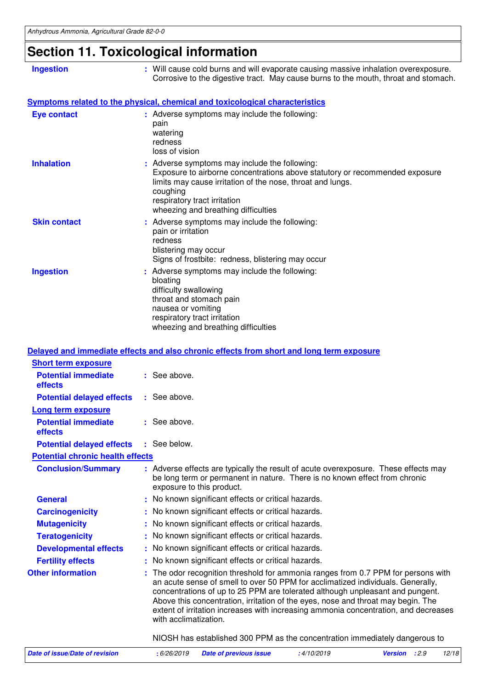# **Section 11. Toxicological information**

| <b>Ingestion</b>                                                    | : Will cause cold burns and will evaporate causing massive inhalation overexposure.<br>Corrosive to the digestive tract. May cause burns to the mouth, throat and stomach.                                                                                                    |
|---------------------------------------------------------------------|-------------------------------------------------------------------------------------------------------------------------------------------------------------------------------------------------------------------------------------------------------------------------------|
|                                                                     | Symptoms related to the physical, chemical and toxicological characteristics                                                                                                                                                                                                  |
| <b>Eye contact</b>                                                  | : Adverse symptoms may include the following:<br>pain<br>watering<br>redness<br>loss of vision                                                                                                                                                                                |
| <b>Inhalation</b>                                                   | : Adverse symptoms may include the following:<br>Exposure to airborne concentrations above statutory or recommended exposure<br>limits may cause irritation of the nose, throat and lungs.<br>coughing<br>respiratory tract irritation<br>wheezing and breathing difficulties |
| <b>Skin contact</b>                                                 | : Adverse symptoms may include the following:<br>pain or irritation<br>redness<br>blistering may occur<br>Signs of frostbite: redness, blistering may occur                                                                                                                   |
| <b>Ingestion</b>                                                    | : Adverse symptoms may include the following:<br>bloating<br>difficulty swallowing<br>throat and stomach pain<br>nausea or vomiting<br>respiratory tract irritation<br>wheezing and breathing difficulties                                                                    |
|                                                                     | Delayed and immediate effects and also chronic effects from short and long term exposure                                                                                                                                                                                      |
| <b>Short term exposure</b><br><b>Potential immediate</b><br>effects | : See above.                                                                                                                                                                                                                                                                  |
| <b>Potential delayed effects</b>                                    | : See above.                                                                                                                                                                                                                                                                  |
| Long term exposure<br><b>Potential immediate</b><br>effects         | : See above.                                                                                                                                                                                                                                                                  |
| <b>Potential delayed effects : See below.</b>                       |                                                                                                                                                                                                                                                                               |
| <b>Potential chronic health effects</b>                             |                                                                                                                                                                                                                                                                               |

| <u>. 9.0.1.1.1. 9.1. 9.1.0.1.10 1.0.1.1.1 9.1.00.10</u> |                                                                                                                                                                                                                                                                                                                                                                                                                                                           |
|---------------------------------------------------------|-----------------------------------------------------------------------------------------------------------------------------------------------------------------------------------------------------------------------------------------------------------------------------------------------------------------------------------------------------------------------------------------------------------------------------------------------------------|
| <b>Conclusion/Summary</b>                               | : Adverse effects are typically the result of acute overexposure. These effects may<br>be long term or permanent in nature. There is no known effect from chronic<br>exposure to this product.                                                                                                                                                                                                                                                            |
| <b>General</b>                                          | : No known significant effects or critical hazards.                                                                                                                                                                                                                                                                                                                                                                                                       |
| <b>Carcinogenicity</b>                                  | : No known significant effects or critical hazards.                                                                                                                                                                                                                                                                                                                                                                                                       |
| <b>Mutagenicity</b>                                     | : No known significant effects or critical hazards.                                                                                                                                                                                                                                                                                                                                                                                                       |
| <b>Teratogenicity</b>                                   | : No known significant effects or critical hazards.                                                                                                                                                                                                                                                                                                                                                                                                       |
| <b>Developmental effects</b>                            | : No known significant effects or critical hazards.                                                                                                                                                                                                                                                                                                                                                                                                       |
| <b>Fertility effects</b>                                | : No known significant effects or critical hazards.                                                                                                                                                                                                                                                                                                                                                                                                       |
| <b>Other information</b>                                | : The odor recognition threshold for ammonia ranges from 0.7 PPM for persons with<br>an acute sense of smell to over 50 PPM for acclimatized individuals. Generally,<br>concentrations of up to 25 PPM are tolerated although unpleasant and pungent.<br>Above this concentration, irritation of the eyes, nose and throat may begin. The<br>extent of irritation increases with increasing ammonia concentration, and decreases<br>with acclimatization. |
|                                                         | NIOSH has established 300 PPM as the concentration immediately dangerous to                                                                                                                                                                                                                                                                                                                                                                               |

| Date of issue/Date of revision | : 6/26/2019  Date of previous issue | :4/10/2019 | <b>Version</b> : 2.9 | 12/18 |
|--------------------------------|-------------------------------------|------------|----------------------|-------|
|                                |                                     |            |                      |       |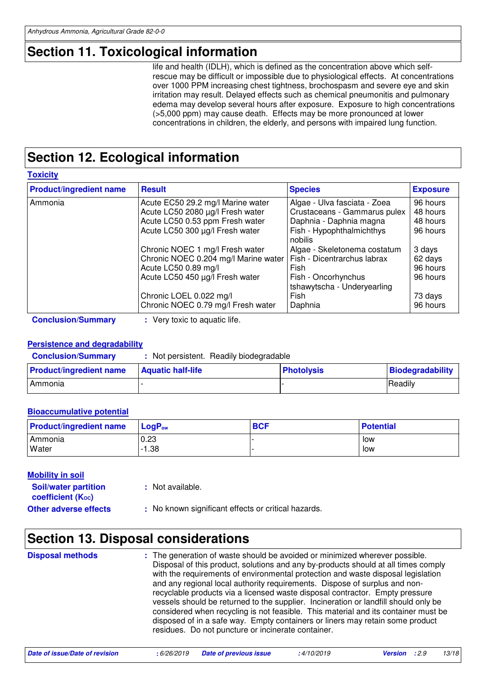# **Section 11. Toxicological information**

life and health (IDLH), which is defined as the concentration above which selfrescue may be difficult or impossible due to physiological effects. At concentrations over 1000 PPM increasing chest tightness, brochospasm and severe eye and skin irritation may result. Delayed effects such as chemical pneumonitis and pulmonary edema may develop several hours after exposure. Exposure to high concentrations (>5,000 ppm) may cause death. Effects may be more pronounced at lower concentrations in children, the elderly, and persons with impaired lung function.

# **Section 12. Ecological information**

**Toxicity**

| <b>Product/ingredient name</b> | <b>Result</b>                        | <b>Species</b>                                     | <b>Exposure</b> |
|--------------------------------|--------------------------------------|----------------------------------------------------|-----------------|
| Ammonia                        | Acute EC50 29.2 mg/l Marine water    | Algae - Ulva fasciata - Zoea                       | 96 hours        |
|                                | Acute LC50 2080 µg/l Fresh water     | Crustaceans - Gammarus pulex                       | 48 hours        |
|                                | Acute LC50 0.53 ppm Fresh water      | Daphnia - Daphnia magna                            | 48 hours        |
|                                | Acute LC50 300 µg/l Fresh water      | Fish - Hypophthalmichthys<br>nobilis               | 96 hours        |
|                                | Chronic NOEC 1 mg/l Fresh water      | Algae - Skeletonema costatum                       | 3 days          |
|                                | Chronic NOEC 0.204 mg/l Marine water | Fish - Dicentrarchus labrax                        | 62 days         |
|                                | Acute LC50 0.89 mg/l                 | Fish                                               | 96 hours        |
|                                | Acute LC50 450 µg/l Fresh water      | Fish - Oncorhynchus<br>tshawytscha - Underyearling | 96 hours        |
|                                | Chronic LOEL 0.022 mg/l              | Fish                                               | 73 days         |
|                                | Chronic NOEC 0.79 mg/l Fresh water   | Daphnia                                            | 96 hours        |

**Conclusion/Summary :** Very toxic to aquatic life.

### **Persistence and degradability**

| <b>Conclusion/Summary</b> |  |  | Not persistent. Readily biodegradable |
|---------------------------|--|--|---------------------------------------|
|---------------------------|--|--|---------------------------------------|

| <b>Product/ingredient name</b> | <b>Aquatic half-life</b> | <b>Photolysis</b> | Biodegradability |
|--------------------------------|--------------------------|-------------------|------------------|
| Ammonia                        |                          |                   | Readily          |

### **Bioaccumulative potential**

| <b>Product/ingredient name</b> | <b>LogP</b> <sub>ow</sub> | <b>BCF</b> | <b>Potential</b> |
|--------------------------------|---------------------------|------------|------------------|
| Ammonia                        | 0.23                      |            | low              |
| Water                          | $-1.38$                   |            | low              |

### **Mobility in soil**

| <b>Soil/water partition</b><br>coefficient (K <sub>oc</sub> ) | : Not available.                                    |
|---------------------------------------------------------------|-----------------------------------------------------|
| <b>Other adverse effects</b>                                  | : No known significant effects or critical hazards. |

## **Section 13. Disposal considerations**

The generation of waste should be avoided or minimized wherever possible. Disposal of this product, solutions and any by-products should at all times comply with the requirements of environmental protection and waste disposal legislation and any regional local authority requirements. Dispose of surplus and nonrecyclable products via a licensed waste disposal contractor. Empty pressure vessels should be returned to the supplier. Incineration or landfill should only be considered when recycling is not feasible. This material and its container must be disposed of in a safe way. Empty containers or liners may retain some product residues. Do not puncture or incinerate container. **Disposal methods :**

| Date of issue/Date of revision | : 6/26/2019 <b>Date of previous issue</b> | :4/10/2019 | <b>Version</b> : 2.9 | 13/18 |
|--------------------------------|-------------------------------------------|------------|----------------------|-------|
|                                |                                           |            |                      |       |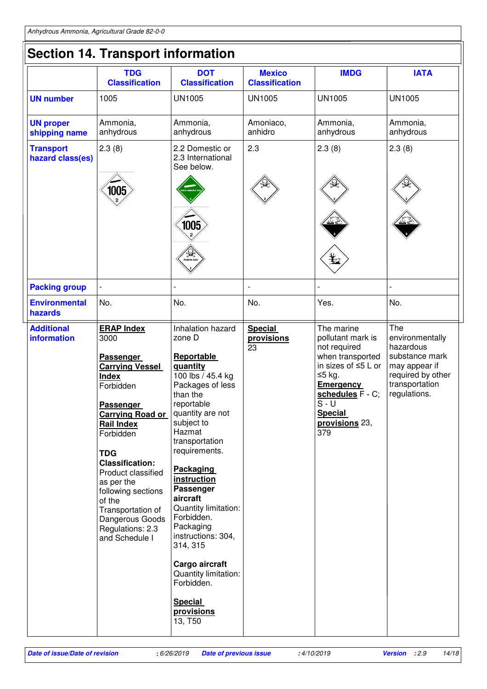|                                         | <b>Section 14. Transport information</b>                                                                                                                                                                                                                                                                                                                                 |                                                                                                                                                                                                                                                                                                                                                                                                                                      |                                        |                                                                                                                                                                                                        |                                                                                                                               |
|-----------------------------------------|--------------------------------------------------------------------------------------------------------------------------------------------------------------------------------------------------------------------------------------------------------------------------------------------------------------------------------------------------------------------------|--------------------------------------------------------------------------------------------------------------------------------------------------------------------------------------------------------------------------------------------------------------------------------------------------------------------------------------------------------------------------------------------------------------------------------------|----------------------------------------|--------------------------------------------------------------------------------------------------------------------------------------------------------------------------------------------------------|-------------------------------------------------------------------------------------------------------------------------------|
|                                         | <b>TDG</b><br><b>Classification</b>                                                                                                                                                                                                                                                                                                                                      | <b>DOT</b><br><b>Classification</b>                                                                                                                                                                                                                                                                                                                                                                                                  | <b>Mexico</b><br><b>Classification</b> | <b>IMDG</b>                                                                                                                                                                                            | <b>IATA</b>                                                                                                                   |
| <b>UN number</b>                        | 1005                                                                                                                                                                                                                                                                                                                                                                     | <b>UN1005</b>                                                                                                                                                                                                                                                                                                                                                                                                                        | <b>UN1005</b>                          | <b>UN1005</b>                                                                                                                                                                                          | <b>UN1005</b>                                                                                                                 |
| <b>UN proper</b><br>shipping name       | Ammonia,<br>anhydrous                                                                                                                                                                                                                                                                                                                                                    | Ammonia,<br>anhydrous                                                                                                                                                                                                                                                                                                                                                                                                                | Amoniaco,<br>anhidro                   | Ammonia,<br>anhydrous                                                                                                                                                                                  | Ammonia,<br>anhydrous                                                                                                         |
| <b>Transport</b><br>hazard class(es)    | 2.3(8)                                                                                                                                                                                                                                                                                                                                                                   | 2.2 Domestic or<br>2.3 International<br>See below.                                                                                                                                                                                                                                                                                                                                                                                   | 2.3                                    | 2.3(8)                                                                                                                                                                                                 | 2.3(8)                                                                                                                        |
|                                         | 1005                                                                                                                                                                                                                                                                                                                                                                     | 1005<br>/ <b>S.A</b>                                                                                                                                                                                                                                                                                                                                                                                                                 |                                        |                                                                                                                                                                                                        |                                                                                                                               |
| <b>Packing group</b>                    |                                                                                                                                                                                                                                                                                                                                                                          |                                                                                                                                                                                                                                                                                                                                                                                                                                      |                                        |                                                                                                                                                                                                        |                                                                                                                               |
| <b>Environmental</b><br>hazards         | No.                                                                                                                                                                                                                                                                                                                                                                      | No.                                                                                                                                                                                                                                                                                                                                                                                                                                  | No.                                    | Yes.                                                                                                                                                                                                   | No.                                                                                                                           |
| <b>Additional</b><br><b>information</b> | <b>ERAP Index</b><br>3000<br>Passenger<br><b>Carrying Vessel</b><br><b>Index</b><br>Forbidden<br><b>Passenger</b><br><b>Carrying Road or</b><br><b>Rail Index</b><br>Forbidden<br><b>TDG</b><br><b>Classification:</b><br>Product classified<br>as per the<br>following sections<br>of the<br>Transportation of<br>Dangerous Goods<br>Regulations: 2.3<br>and Schedule I | Inhalation hazard<br>zone D<br>Reportable<br>quantity<br>$100$ lbs / 45.4 kg<br>Packages of less<br>than the<br>reportable<br>quantity are not<br>subject to<br>Hazmat<br>transportation<br>requirements.<br><b>Packaging</b><br>instruction<br>Passenger<br>aircraft<br>Quantity limitation:<br>Forbidden.<br>Packaging<br>instructions: 304,<br>314, 315<br>Cargo aircraft<br>Quantity limitation:<br>Forbidden.<br><b>Special</b> | <b>Special</b><br>provisions<br>23     | The marine<br>pollutant mark is<br>not required<br>when transported<br>in sizes of $\leq$ 5 L or<br>≤5 kg.<br><b>Emergency</b><br>schedules F - C;<br>S - U<br><b>Special</b><br>provisions 23,<br>379 | The<br>environmentally<br>hazardous<br>substance mark<br>may appear if<br>required by other<br>transportation<br>regulations. |

13, T50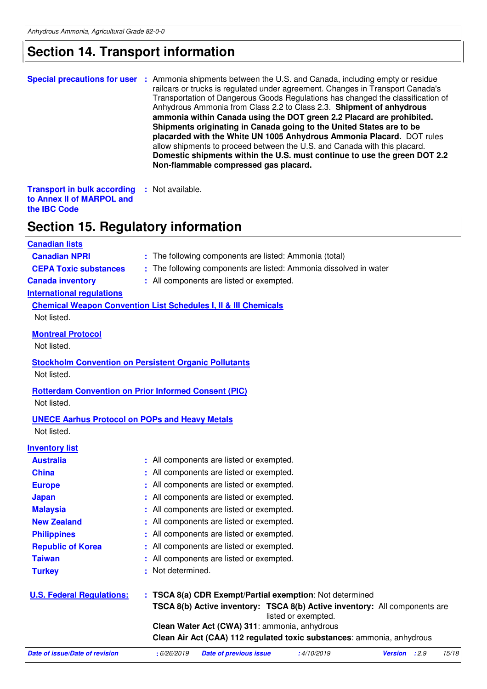## **Section 14. Transport information**

|                                                                                                                                                                                                                         | <b>Special precautions for user</b> : Ammonia shipments between the U.S. and Canada, including empty or residue<br>railcars or trucks is regulated under agreement. Changes in Transport Canada's<br>Transportation of Dangerous Goods Regulations has changed the classification of<br>Anhydrous Ammonia from Class 2.2 to Class 2.3. Shipment of anhydrous<br>ammonia within Canada using the DOT green 2.2 Placard are prohibited.<br>Shipments originating in Canada going to the United States are to be<br>placarded with the White UN 1005 Anhydrous Ammonia Placard. DOT rules<br>allow shipments to proceed between the U.S. and Canada with this placard.<br>Domestic shipments within the U.S. must continue to use the green DOT 2.2<br>Non-flammable compressed gas placard. |
|-------------------------------------------------------------------------------------------------------------------------------------------------------------------------------------------------------------------------|-------------------------------------------------------------------------------------------------------------------------------------------------------------------------------------------------------------------------------------------------------------------------------------------------------------------------------------------------------------------------------------------------------------------------------------------------------------------------------------------------------------------------------------------------------------------------------------------------------------------------------------------------------------------------------------------------------------------------------------------------------------------------------------------|
| <b>Transport in bulk according</b><br>to Annex II of MARPOL and<br>the <b>IBC</b> Code                                                                                                                                  | : Not available.                                                                                                                                                                                                                                                                                                                                                                                                                                                                                                                                                                                                                                                                                                                                                                          |
| <b>Section 15. Regulatory information</b>                                                                                                                                                                               |                                                                                                                                                                                                                                                                                                                                                                                                                                                                                                                                                                                                                                                                                                                                                                                           |
| <b>Canadian lists</b><br><b>Canadian NPRI</b><br><b>CEPA Toxic substances</b><br><b>Canada inventory</b><br><b>International regulations</b><br>Not listed.                                                             | : The following components are listed: Ammonia (total)<br>: The following components are listed: Ammonia dissolved in water<br>: All components are listed or exempted.<br><b>Chemical Weapon Convention List Schedules I, II &amp; III Chemicals</b>                                                                                                                                                                                                                                                                                                                                                                                                                                                                                                                                     |
| <b>Montreal Protocol</b><br>Not listed.<br>Not listed.                                                                                                                                                                  | <b>Stockholm Convention on Persistent Organic Pollutants</b>                                                                                                                                                                                                                                                                                                                                                                                                                                                                                                                                                                                                                                                                                                                              |
| <b>Rotterdam Convention on Prior Informed Consent (PIC)</b><br>Not listed.<br><b>UNECE Aarhus Protocol on POPs and Heavy Metals</b><br>Not listed.                                                                      |                                                                                                                                                                                                                                                                                                                                                                                                                                                                                                                                                                                                                                                                                                                                                                                           |
| <b>Inventory list</b><br><b>Australia</b><br><b>China</b><br><b>Europe</b><br><b>Japan</b><br><b>Malaysia</b><br><b>New Zealand</b><br><b>Philippines</b><br><b>Republic of Korea</b><br><b>Taiwan</b><br><b>Turkey</b> | All components are listed or exempted.<br>All components are listed or exempted.<br>All components are listed or exempted.<br>All components are listed or exempted.<br>All components are listed or exempted.<br>All components are listed or exempted.<br>All components are listed or exempted.<br>All components are listed or exempted.<br>All components are listed or exempted.<br>Not determined.                                                                                                                                                                                                                                                                                                                                                                                 |
| <b>U.S. Federal Regulations:</b>                                                                                                                                                                                        | TSCA 8(a) CDR Exempt/Partial exemption: Not determined<br>TSCA 8(b) Active inventory: TSCA 8(b) Active inventory: All components are<br>listed or exempted.                                                                                                                                                                                                                                                                                                                                                                                                                                                                                                                                                                                                                               |

**Clean Water Act (CWA) 311**: ammonia, anhydrous

**Clean Air Act (CAA) 112 regulated toxic substances**: ammonia, anhydrous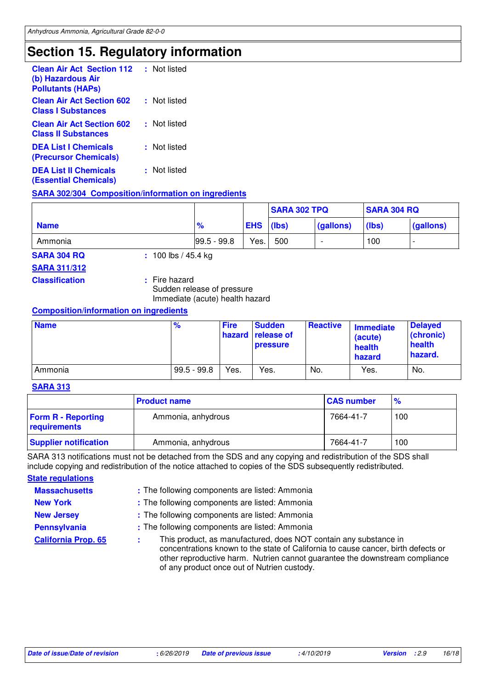# **Section 15. Regulatory information**

| <b>Clean Air Act Section 112</b><br>(b) Hazardous Air<br><b>Pollutants (HAPs)</b> | : Not listed |
|-----------------------------------------------------------------------------------|--------------|
| <b>Clean Air Act Section 602</b><br><b>Class I Substances</b>                     | : Not listed |
| <b>Clean Air Act Section 602</b><br><b>Class II Substances</b>                    | : Not listed |
| <b>DEA List I Chemicals</b><br>(Precursor Chemicals)                              | : Not listed |
| <b>DEA List II Chemicals</b><br><b>(Essential Chemicals)</b>                      | : Not listed |

### **SARA 302/304 Composition/information on ingredients**

|             |               |            | <b>SARA 302 TPQ</b> |           | <b>SARA 304 RQ</b> |           |
|-------------|---------------|------------|---------------------|-----------|--------------------|-----------|
| <b>Name</b> | $\frac{9}{6}$ | <b>EHS</b> | (lbs)               | (gallons) | (lbs)              | (gallons) |
| Ammonia     | $99.5 - 99.8$ | Yes.       | 500                 |           | 100                |           |

**SARA 304 RQ :** 100 lbs / 45.4 kg

### **SARA 311/312**

**Classification :** Fire hazard

Sudden release of pressure Immediate (acute) health hazard

### **Composition/information on ingredients**

| <b>Name</b> | $\%$          | <b>Fire</b> | <b>Sudden</b><br>hazard release of<br><b>pressure</b> | <b>Reactive</b> | <b>Immediate</b><br>(acute)<br>health<br>hazard | <b>Delayed</b><br>(chronic)<br>health<br>hazard. |
|-------------|---------------|-------------|-------------------------------------------------------|-----------------|-------------------------------------------------|--------------------------------------------------|
| Ammonia     | $99.5 - 99.8$ | Yes.        | Yes.                                                  | No.             | Yes.                                            | No.                                              |

### **SARA 313**

|                                           | <b>Product name</b> | <b>CAS number</b> | $\%$ |
|-------------------------------------------|---------------------|-------------------|------|
| <b>Form R - Reporting</b><br>requirements | Ammonia, anhydrous  | 7664-41-7         | 100  |
| <b>Supplier notification</b>              | Ammonia, anhydrous  | 7664-41-7         | 100  |

SARA 313 notifications must not be detached from the SDS and any copying and redistribution of the SDS shall include copying and redistribution of the notice attached to copies of the SDS subsequently redistributed.

**State regulations**

**Massachusetts :** The following components are listed: Ammonia

**New York :** The following components are listed: Ammonia

**New Jersey : The following components are listed: Ammonia** 

**Pennsylvania** : The following components are listed: Ammonia

**:**

**California Prop. 65** This product, as manufactured, does NOT contain any substance in concentrations known to the state of California to cause cancer, birth defects or other reproductive harm. Nutrien cannot guarantee the downstream compliance of any product once out of Nutrien custody.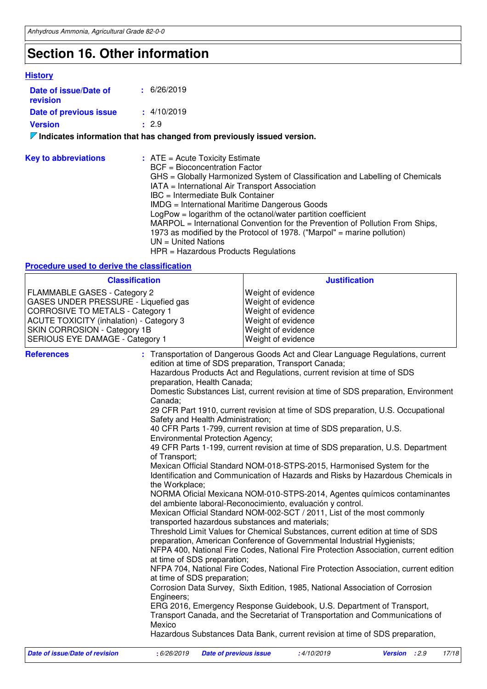# **Section 16. Other information**

### **History**

| Date of issue/Date of<br>revision | $\pm$ 6/26/2019                                                                 |
|-----------------------------------|---------------------------------------------------------------------------------|
| Date of previous issue            | $\pm$ 4/10/2019                                                                 |
| <b>Version</b>                    | : 2.9                                                                           |
|                                   | $\nabla$ Indicates information that has changed from previously issued version. |
| <b>Key to abbreviations</b>       | $:$ ATE = Acute Toxicity Estimate                                               |

| $\sim$ |                                                                               |
|--------|-------------------------------------------------------------------------------|
|        | BCF = Bioconcentration Factor                                                 |
|        | GHS = Globally Harmonized System of Classification and Labelling of Chemicals |
|        | IATA = International Air Transport Association                                |
|        | IBC = Intermediate Bulk Container                                             |
|        | IMDG = International Maritime Dangerous Goods                                 |
|        | $LogPow = logarithm$ of the octanol/water partition coefficient               |
|        | MARPOL = International Convention for the Prevention of Pollution From Ships, |
|        | 1973 as modified by the Protocol of 1978. ("Marpol" = marine pollution)       |
|        | $UN = United Nations$                                                         |
|        | $HPR = \text{Hazardous Products Requirements}$                                |
|        |                                                                               |

### **Procedure used to derive the classification**

| <b>Classification</b>                                                                                                                                                                                                                 |                                                                                                                                                                                                                                                 | <b>Justification</b>                                                                                                                                                                                                                                                                                                                                                                                                                                                                                                                                                                                                                                                                                                                                                                                                                                                                                                                                                                                                                                                                                                                                                                                                                                                                                                                                                                                                                                                                                                                                                                                                                                                    |
|---------------------------------------------------------------------------------------------------------------------------------------------------------------------------------------------------------------------------------------|-------------------------------------------------------------------------------------------------------------------------------------------------------------------------------------------------------------------------------------------------|-------------------------------------------------------------------------------------------------------------------------------------------------------------------------------------------------------------------------------------------------------------------------------------------------------------------------------------------------------------------------------------------------------------------------------------------------------------------------------------------------------------------------------------------------------------------------------------------------------------------------------------------------------------------------------------------------------------------------------------------------------------------------------------------------------------------------------------------------------------------------------------------------------------------------------------------------------------------------------------------------------------------------------------------------------------------------------------------------------------------------------------------------------------------------------------------------------------------------------------------------------------------------------------------------------------------------------------------------------------------------------------------------------------------------------------------------------------------------------------------------------------------------------------------------------------------------------------------------------------------------------------------------------------------------|
| FLAMMABLE GASES - Category 2<br>GASES UNDER PRESSURE - Liquefied gas<br><b>CORROSIVE TO METALS - Category 1</b><br><b>ACUTE TOXICITY (inhalation) - Category 3</b><br>SKIN CORROSION - Category 1B<br>SERIOUS EYE DAMAGE - Category 1 |                                                                                                                                                                                                                                                 | Weight of evidence<br>Weight of evidence<br>Weight of evidence<br>Weight of evidence<br>Weight of evidence<br>Weight of evidence                                                                                                                                                                                                                                                                                                                                                                                                                                                                                                                                                                                                                                                                                                                                                                                                                                                                                                                                                                                                                                                                                                                                                                                                                                                                                                                                                                                                                                                                                                                                        |
| <b>References</b>                                                                                                                                                                                                                     | preparation, Health Canada;<br>Canada;<br>Safety and Health Administration;<br><b>Environmental Protection Agency;</b><br>of Transport;<br>the Workplace;<br>at time of SDS preparation;<br>at time of SDS preparation;<br>Engineers;<br>Mexico | : Transportation of Dangerous Goods Act and Clear Language Regulations, current<br>edition at time of SDS preparation, Transport Canada;<br>Hazardous Products Act and Regulations, current revision at time of SDS<br>Domestic Substances List, current revision at time of SDS preparation, Environment<br>29 CFR Part 1910, current revision at time of SDS preparation, U.S. Occupational<br>40 CFR Parts 1-799, current revision at time of SDS preparation, U.S.<br>49 CFR Parts 1-199, current revision at time of SDS preparation, U.S. Department<br>Mexican Official Standard NOM-018-STPS-2015, Harmonised System for the<br>Identification and Communication of Hazards and Risks by Hazardous Chemicals in<br>NORMA Oficial Mexicana NOM-010-STPS-2014, Agentes químicos contaminantes<br>del ambiente laboral-Reconocimiento, evaluación y control.<br>Mexican Official Standard NOM-002-SCT / 2011, List of the most commonly<br>transported hazardous substances and materials;<br>Threshold Limit Values for Chemical Substances, current edition at time of SDS<br>preparation, American Conference of Governmental Industrial Hygienists;<br>NFPA 400, National Fire Codes, National Fire Protection Association, current edition<br>NFPA 704, National Fire Codes, National Fire Protection Association, current edition<br>Corrosion Data Survey, Sixth Edition, 1985, National Association of Corrosion<br>ERG 2016, Emergency Response Guidebook, U.S. Department of Transport,<br>Transport Canada, and the Secretariat of Transportation and Communications of<br>Hazardous Substances Data Bank, current revision at time of SDS preparation, |